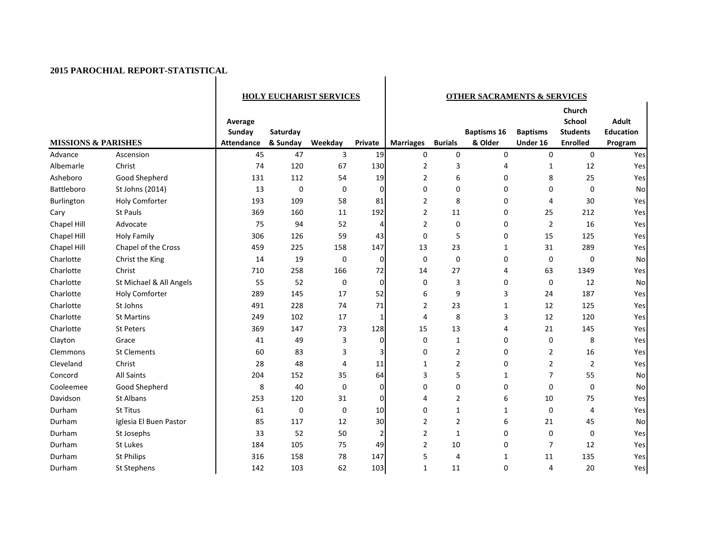|                                |                         | <b>HOLY EUCHARIST SERVICES</b>         |                      |         | <b>OTHER SACRAMENTS &amp; SERVICES</b> |                  |                |                               |                             |                                                               |                                             |
|--------------------------------|-------------------------|----------------------------------------|----------------------|---------|----------------------------------------|------------------|----------------|-------------------------------|-----------------------------|---------------------------------------------------------------|---------------------------------------------|
| <b>MISSIONS &amp; PARISHES</b> |                         | Average<br>Sunday<br><b>Attendance</b> | Saturday<br>& Sunday | Weekday | Private                                | <b>Marriages</b> | <b>Burials</b> | <b>Baptisms 16</b><br>& Older | <b>Baptisms</b><br>Under 16 | Church<br><b>School</b><br><b>Students</b><br><b>Enrolled</b> | <b>Adult</b><br><b>Education</b><br>Program |
| Advance                        | Ascension               | 45                                     | 47                   | 3       | 19                                     | 0                | 0              | 0                             | $\pmb{0}$                   | 0                                                             | Yes                                         |
| Albemarle                      | Christ                  | 74                                     | 120                  | 67      | 130                                    | $\overline{2}$   | 3              | 4                             | 1                           | 12                                                            | Yes                                         |
| Asheboro                       | Good Shepherd           | 131                                    | 112                  | 54      | 19                                     | $\overline{2}$   | 6              | $\Omega$                      | 8                           | 25                                                            | Yes                                         |
| Battleboro                     | St Johns (2014)         | 13                                     | 0                    | 0       | 0                                      | 0                | 0              | 0                             | $\mathbf 0$                 | 0                                                             | No                                          |
| Burlington                     | <b>Holy Comforter</b>   | 193                                    | 109                  | 58      | 81                                     | $\overline{2}$   | 8              | 0                             | 4                           | 30                                                            | Yes                                         |
| Cary                           | St Pauls                | 369                                    | 160                  | 11      | 192                                    | $\overline{2}$   | 11             | 0                             | 25                          | 212                                                           | Yes                                         |
| Chapel Hill                    | Advocate                | 75                                     | 94                   | 52      | 4                                      | $\overline{2}$   | 0              | 0                             | $\overline{2}$              | 16                                                            | Yes                                         |
| Chapel Hill                    | <b>Holy Family</b>      | 306                                    | 126                  | 59      | 43                                     | 0                | 5              | 0                             | 15                          | 125                                                           | Yes                                         |
| Chapel Hill                    | Chapel of the Cross     | 459                                    | 225                  | 158     | 147                                    | 13               | 23             | $\mathbf{1}$                  | 31                          | 289                                                           | Yes                                         |
| Charlotte                      | Christ the King         | 14                                     | 19                   | 0       | 0                                      | 0                | 0              | 0                             | 0                           | 0                                                             | No                                          |
| Charlotte                      | Christ                  | 710                                    | 258                  | 166     | 72                                     | 14               | 27             | 4                             | 63                          | 1349                                                          | Yes                                         |
| Charlotte                      | St Michael & All Angels | 55                                     | 52                   | 0       | 0                                      | 0                | 3              | 0                             | 0                           | 12                                                            | No                                          |
| Charlotte                      | <b>Holy Comforter</b>   | 289                                    | 145                  | 17      | 52                                     | 6                | 9              | 3                             | 24                          | 187                                                           | Yes                                         |
| Charlotte                      | St Johns                | 491                                    | 228                  | 74      | 71                                     | 2                | 23             | $\mathbf{1}$                  | 12                          | 125                                                           | Yes                                         |
| Charlotte                      | <b>St Martins</b>       | 249                                    | 102                  | 17      | 1                                      | 4                | 8              | 3                             | 12                          | 120                                                           | Yes                                         |
| Charlotte                      | <b>St Peters</b>        | 369                                    | 147                  | 73      | 128                                    | 15               | 13             | 4                             | 21                          | 145                                                           | Yes                                         |
| Clayton                        | Grace                   | 41                                     | 49                   | 3       | 0                                      | $\mathbf 0$      | $\mathbf{1}$   | 0                             | 0                           | 8                                                             | Yes                                         |
| Clemmons                       | <b>St Clements</b>      | 60                                     | 83                   | 3       | 3                                      | 0                | $\overline{2}$ | 0                             | 2                           | 16                                                            | Yes                                         |
| Cleveland                      | Christ                  | 28                                     | 48                   | 4       | 11                                     | 1                | $\overline{2}$ | 0                             | $\overline{2}$              | $\overline{2}$                                                | Yes                                         |
| Concord                        | <b>All Saints</b>       | 204                                    | 152                  | 35      | 64                                     | 3                | 5              | $\mathbf{1}$                  | 7                           | 55                                                            | No                                          |
| Cooleemee                      | Good Shepherd           | 8                                      | 40                   | 0       | $\mathbf 0$                            | 0                | 0              | 0                             | $\mathbf 0$                 | $\mathbf 0$                                                   | No                                          |
| Davidson                       | St Albans               | 253                                    | 120                  | 31      | $\pmb{0}$                              | 4                | $\overline{2}$ | 6                             | 10                          | 75                                                            | Yes                                         |
| Durham                         | <b>St Titus</b>         | 61                                     | 0                    | 0       | 10                                     | $\Omega$         | $\mathbf{1}$   | $\mathbf{1}$                  | $\mathbf 0$                 | 4                                                             | Yes                                         |
| Durham                         | Iglesia El Buen Pastor  | 85                                     | 117                  | 12      | 30                                     | $\overline{2}$   | $\overline{2}$ | 6                             | 21                          | 45                                                            | No                                          |
| Durham                         | St Josephs              | 33                                     | 52                   | 50      | $\overline{2}$                         | $\overline{2}$   | $\mathbf{1}$   | 0                             | 0                           | $\mathbf 0$                                                   | Yes                                         |
| Durham                         | St Lukes                | 184                                    | 105                  | 75      | 49                                     | $\overline{2}$   | 10             | 0                             | $\overline{7}$              | 12                                                            | Yes                                         |
| Durham                         | <b>St Philips</b>       | 316                                    | 158                  | 78      | 147                                    | 5                | 4              | 1                             | 11                          | 135                                                           | Yes                                         |
| Durham                         | St Stephens             | 142                                    | 103                  | 62      | 103                                    | $\mathbf{1}$     | 11             | 0                             | 4                           | 20                                                            | Yes                                         |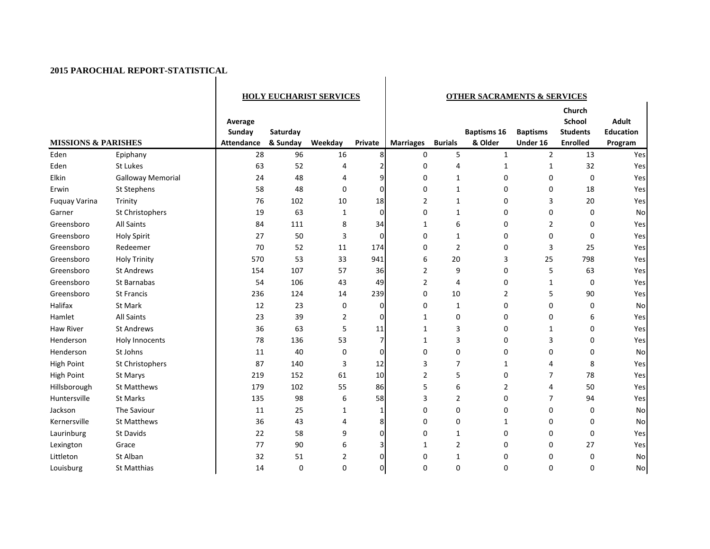|                                |                          | <b>HOLY EUCHARIST SERVICES</b>         |                      |                | <b>OTHER SACRAMENTS &amp; SERVICES</b> |                  |                |                               |                             |                                                               |                                             |
|--------------------------------|--------------------------|----------------------------------------|----------------------|----------------|----------------------------------------|------------------|----------------|-------------------------------|-----------------------------|---------------------------------------------------------------|---------------------------------------------|
| <b>MISSIONS &amp; PARISHES</b> |                          | Average<br>Sunday<br><b>Attendance</b> | Saturday<br>& Sunday | Weekday        | Private                                | <b>Marriages</b> | <b>Burials</b> | <b>Baptisms 16</b><br>& Older | <b>Baptisms</b><br>Under 16 | Church<br><b>School</b><br><b>Students</b><br><b>Enrolled</b> | <b>Adult</b><br><b>Education</b><br>Program |
| Eden                           | Epiphany                 | 28                                     | 96                   | 16             | 8                                      | $\mathbf 0$      | 5              | $\mathbf{1}$                  | $\overline{2}$              | 13                                                            | Yes                                         |
| Eden                           | St Lukes                 | 63                                     | 52                   | 4              |                                        | 0                | $\overline{4}$ | 1                             | $\mathbf{1}$                | 32                                                            | Yes                                         |
| Elkin                          | <b>Galloway Memorial</b> | 24                                     | 48                   | 4              | 9                                      | 0                | $\mathbf{1}$   | 0                             | 0                           | 0                                                             | Yes                                         |
| Erwin                          | St Stephens              | 58                                     | 48                   | $\mathbf 0$    | $\Omega$                               | $\mathbf 0$      | $\mathbf{1}$   | 0                             | 0                           | 18                                                            | Yes                                         |
| <b>Fuquay Varina</b>           | Trinity                  | 76                                     | 102                  | 10             | 18                                     | $\overline{2}$   | $\mathbf{1}$   | 0                             | 3                           | 20                                                            | Yes                                         |
| Garner                         | St Christophers          | 19                                     | 63                   | 1              | $\mathbf 0$                            | $\mathbf 0$      | $\mathbf{1}$   | 0                             | 0                           | $\mathbf 0$                                                   | <b>No</b>                                   |
| Greensboro                     | <b>All Saints</b>        | 84                                     | 111                  | 8              | 34                                     | 1                | 6              | 0                             | $\overline{2}$              | $\mathbf 0$                                                   | Yes                                         |
| Greensboro                     | <b>Holy Spirit</b>       | 27                                     | 50                   | 3              | 0                                      | $\mathbf 0$      | $\mathbf{1}$   | 0                             | 0                           | 0                                                             | Yes                                         |
| Greensboro                     | Redeemer                 | 70                                     | 52                   | 11             | 174                                    | $\mathbf 0$      | $\overline{2}$ | 0                             | 3                           | 25                                                            | Yes                                         |
| Greensboro                     | <b>Holy Trinity</b>      | 570                                    | 53                   | 33             | 941                                    | 6                | 20             | 3                             | 25                          | 798                                                           | Yes                                         |
| Greensboro                     | <b>St Andrews</b>        | 154                                    | 107                  | 57             | 36                                     | 2                | 9              | 0                             | 5                           | 63                                                            | Yes                                         |
| Greensboro                     | St Barnabas              | 54                                     | 106                  | 43             | 49                                     | $\overline{2}$   | $\overline{4}$ | 0                             | $\mathbf{1}$                | 0                                                             | Yes                                         |
| Greensboro                     | <b>St Francis</b>        | 236                                    | 124                  | 14             | 239                                    | 0                | 10             | $\overline{2}$                | 5                           | 90                                                            | Yes                                         |
| Halifax                        | St Mark                  | 12                                     | 23                   | 0              | 0                                      | $\mathbf 0$      | $\mathbf{1}$   | 0                             | 0                           | 0                                                             | No                                          |
| Hamlet                         | <b>All Saints</b>        | 23                                     | 39                   | $\overline{2}$ | $\Omega$                               | 1                | $\mathbf 0$    | 0                             | 0                           | 6                                                             | Yes                                         |
| <b>Haw River</b>               | <b>St Andrews</b>        | 36                                     | 63                   | 5              | 11                                     | $\mathbf{1}$     | 3              | 0                             | 1                           | 0                                                             | Yes                                         |
| Henderson                      | Holy Innocents           | 78                                     | 136                  | 53             | 7                                      | 1                | 3              | 0                             | 3                           | $\mathbf 0$                                                   | Yes                                         |
| Henderson                      | St Johns                 | 11                                     | 40                   | $\mathbf 0$    | $\Omega$                               | $\Omega$         | $\mathbf 0$    | 0                             | 0                           | $\mathbf 0$                                                   | No                                          |
| <b>High Point</b>              | St Christophers          | 87                                     | 140                  | 3              | 12                                     | 3                | $\overline{7}$ | 1                             | 4                           | 8                                                             | Yes                                         |
| <b>High Point</b>              | St Marys                 | 219                                    | 152                  | 61             | 10                                     | $\overline{2}$   | 5              | 0                             | $\overline{7}$              | 78                                                            | Yes                                         |
| Hillsborough                   | <b>St Matthews</b>       | 179                                    | 102                  | 55             | 86                                     | 5                | 6              | $\overline{2}$                | $\overline{4}$              | 50                                                            | Yes                                         |
| Huntersville                   | <b>St Marks</b>          | 135                                    | 98                   | 6              | 58                                     | 3                | $\overline{2}$ | 0                             | $\overline{7}$              | 94                                                            | Yes                                         |
| Jackson                        | The Saviour              | 11                                     | 25                   | 1              |                                        | 0                | $\mathbf 0$    | 0                             | 0                           | 0                                                             | <b>No</b>                                   |
| Kernersville                   | <b>St Matthews</b>       | 36                                     | 43                   | 4              | 8                                      | 0                | 0              | 1                             | 0                           | 0                                                             | No                                          |
| Laurinburg                     | St Davids                | 22                                     | 58                   | 9              | 0                                      | $\mathbf 0$      | $\mathbf{1}$   | 0                             | 0                           | $\pmb{0}$                                                     | Yes                                         |
| Lexington                      | Grace                    | 77                                     | 90                   | 6              |                                        | 1                | $\overline{2}$ | 0                             | 0                           | 27                                                            | Yes                                         |
| Littleton                      | St Alban                 | 32                                     | 51                   | 2              |                                        | 0                | $\mathbf{1}$   | 0                             | 0                           | 0                                                             | No                                          |
| Louisburg                      | St Matthias              | 14                                     | 0                    | $\mathbf 0$    | $\Omega$                               | $\Omega$         | $\mathbf 0$    | 0                             | 0                           | 0                                                             | <b>No</b>                                   |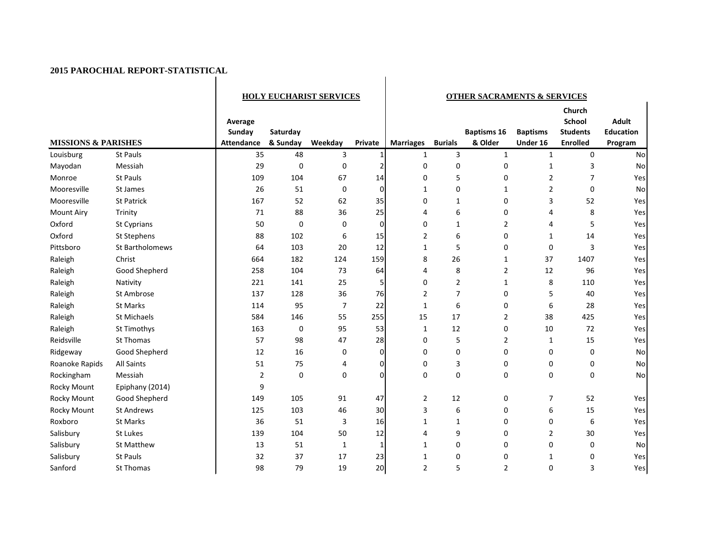$\mathbf{I}$ 

|                                |                    | <b>HOLY EUCHARIST SERVICES</b>  |                      |         | <b>OTHER SACRAMENTS &amp; SERVICES</b> |                  |                |                               |                             |                                                               |                                             |
|--------------------------------|--------------------|---------------------------------|----------------------|---------|----------------------------------------|------------------|----------------|-------------------------------|-----------------------------|---------------------------------------------------------------|---------------------------------------------|
| <b>MISSIONS &amp; PARISHES</b> |                    | Average<br>Sunday<br>Attendance | Saturday<br>& Sunday | Weekday | Private                                | <b>Marriages</b> | <b>Burials</b> | <b>Baptisms 16</b><br>& Older | <b>Baptisms</b><br>Under 16 | Church<br><b>School</b><br><b>Students</b><br><b>Enrolled</b> | <b>Adult</b><br><b>Education</b><br>Program |
| Louisburg                      | <b>St Pauls</b>    | 35                              | 48                   | 3       |                                        | $\mathbf{1}$     | 3              | $\mathbf{1}$                  | $\mathbf{1}$                | $\mathbf 0$                                                   | <b>No</b>                                   |
| Mayodan                        | Messiah            | 29                              | $\mathbf 0$          | 0       | 2                                      | 0                | 0              | 0                             | $\mathbf{1}$                | 3                                                             | <b>No</b>                                   |
| Monroe                         | <b>St Pauls</b>    | 109                             | 104                  | 67      | 14                                     | 0                | 5              | 0                             | $\overline{2}$              | $\overline{7}$                                                | Yes                                         |
| Mooresville                    | St James           | 26                              | 51                   | 0       | $\overline{0}$                         | $\mathbf{1}$     | 0              | $\mathbf{1}$                  | $\overline{2}$              | 0                                                             | <b>No</b>                                   |
| Mooresville                    | St Patrick         | 167                             | 52                   | 62      | 35                                     | 0                | $\mathbf{1}$   | 0                             | 3                           | 52                                                            | Yes                                         |
| <b>Mount Airy</b>              | Trinity            | 71                              | 88                   | 36      | 25                                     | 4                | 6              | 0                             | 4                           | 8                                                             | Yes                                         |
| Oxford                         | St Cyprians        | 50                              | $\mathbf 0$          | 0       | $\overline{0}$                         | 0                | $\mathbf{1}$   | $\overline{2}$                | 4                           | 5                                                             | Yes                                         |
| Oxford                         | St Stephens        | 88                              | 102                  | 6       | 15                                     | $\overline{2}$   | 6              | 0                             | 1                           | 14                                                            | Yes                                         |
| Pittsboro                      | St Bartholomews    | 64                              | 103                  | 20      | 12                                     | $\mathbf{1}$     | 5              | $\Omega$                      | $\mathbf 0$                 | 3                                                             | Yes                                         |
| Raleigh                        | Christ             | 664                             | 182                  | 124     | 159                                    | 8                | 26             | $\mathbf{1}$                  | 37                          | 1407                                                          | Yes                                         |
| Raleigh                        | Good Shepherd      | 258                             | 104                  | 73      | 64                                     | 4                | 8              | $\overline{2}$                | 12                          | 96                                                            | Yes                                         |
| Raleigh                        | Nativity           | 221                             | 141                  | 25      | 5                                      | 0                | $\overline{2}$ | $\mathbf{1}$                  | 8                           | 110                                                           | Yes                                         |
| Raleigh                        | St Ambrose         | 137                             | 128                  | 36      | 76                                     | $\overline{2}$   | $\overline{7}$ | 0                             | 5                           | 40                                                            | Yes                                         |
| Raleigh                        | <b>St Marks</b>    | 114                             | 95                   | 7       | 22                                     | $\mathbf{1}$     | 6              | 0                             | 6                           | 28                                                            | Yes                                         |
| Raleigh                        | <b>St Michaels</b> | 584                             | 146                  | 55      | 255                                    | 15               | 17             | $\overline{2}$                | 38                          | 425                                                           | Yes                                         |
| Raleigh                        | St Timothys        | 163                             | 0                    | 95      | 53                                     | $\mathbf{1}$     | 12             | 0                             | 10                          | 72                                                            | Yes                                         |
| Reidsville                     | St Thomas          | 57                              | 98                   | 47      | 28                                     | $\Omega$         | 5              | $\overline{2}$                | 1                           | 15                                                            | Yes                                         |
| Ridgeway                       | Good Shepherd      | 12                              | 16                   | 0       | $\Omega$                               | $\Omega$         | $\mathbf 0$    | 0                             | 0                           | 0                                                             | <b>No</b>                                   |
| Roanoke Rapids                 | <b>All Saints</b>  | 51                              | 75                   | 4       | 0                                      | 0                | 3              | 0                             | 0                           | 0                                                             | <b>No</b>                                   |
| Rockingham                     | Messiah            | $\overline{2}$                  | 0                    | 0       | $\Omega$                               | 0                | $\pmb{0}$      | 0                             | 0                           | $\mathbf 0$                                                   | <b>No</b>                                   |
| Rocky Mount                    | Epiphany (2014)    | 9                               |                      |         |                                        |                  |                |                               |                             |                                                               |                                             |
| Rocky Mount                    | Good Shepherd      | 149                             | 105                  | 91      | 47                                     | $\overline{2}$   | 12             | 0                             | 7                           | 52                                                            | Yes                                         |
| Rocky Mount                    | <b>St Andrews</b>  | 125                             | 103                  | 46      | 30                                     | 3                | 6              | 0                             | 6                           | 15                                                            | Yes                                         |
| Roxboro                        | <b>St Marks</b>    | 36                              | 51                   | 3       | 16                                     | $\mathbf{1}$     | $\mathbf{1}$   | 0                             | 0                           | 6                                                             | Yes                                         |
| Salisbury                      | St Lukes           | 139                             | 104                  | 50      | 12                                     | 4                | 9              | $\Omega$                      | $\overline{2}$              | 30                                                            | Yes                                         |
| Salisbury                      | St Matthew         | 13                              | 51                   | 1       | $\mathbf{1}$                           | $\mathbf{1}$     | $\mathbf 0$    | 0                             | 0                           | 0                                                             | <b>No</b>                                   |
| Salisbury                      | <b>St Pauls</b>    | 32                              | 37                   | 17      | 23                                     | $\mathbf{1}$     | $\mathbf 0$    | $\mathbf 0$                   | 1                           | 0                                                             | Yes                                         |
| Sanford                        | St Thomas          | 98                              | 79                   | 19      | 20 <sup>1</sup>                        | 2                | 5              | 2                             | $\Omega$                    | 3                                                             | Yes                                         |

 $\overline{1}$